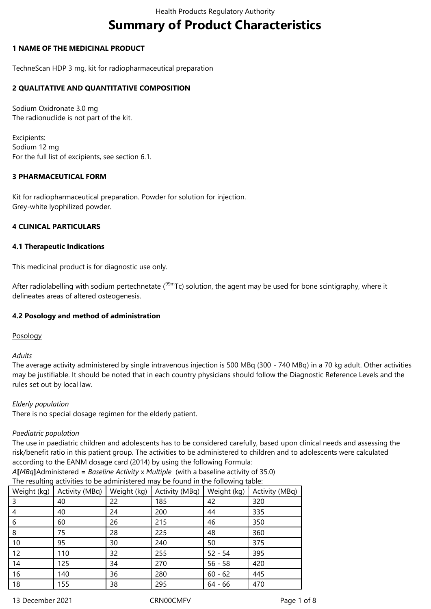# **Summary of Product Characteristics**

### **1 NAME OF THE MEDICINAL PRODUCT**

TechneScan HDP 3 mg, kit for radiopharmaceutical preparation

### **2 QUALITATIVE AND QUANTITATIVE COMPOSITION**

Sodium Oxidronate 3.0 mg The radionuclide is not part of the kit.

Excipients: Sodium 12 mg For the full list of excipients, see section 6.1.

### **3 PHARMACEUTICAL FORM**

Kit for radiopharmaceutical preparation. Powder for solution for injection. Grey-white lyophilized powder.

#### **4 CLINICAL PARTICULARS**

#### **4.1 Therapeutic Indications**

This medicinal product is for diagnostic use only.

After radiolabelling with sodium pertechnetate ( $99mTc$ ) solution, the agent may be used for bone scintigraphy, where it delineates areas of altered osteogenesis.

## **4.2 Posology and method of administration**

Posology

*Adults*

The average activity administered by single intravenous injection is 500 MBq (300 - 740 MBq) in a 70 kg adult. Other activities may be justifiable. It should be noted that in each country physicians should follow the Diagnostic Reference Levels and the rules set out by local law.

#### *Elderly population*

There is no special dosage regimen for the elderly patient.

#### *Paediatric population*

The use in paediatric children and adolescents has to be considered carefully, based upon clinical needs and assessing the risk/benefit ratio in this patient group. The activities to be administered to children and to adolescents were calculated according to the EANM dosage card (2014) by using the following Formula:

*A***[***MBq***]**Administered **=** *Baseline Activity* x *Multiple* (with a baseline activity of 35.0) The resulting activities to be administered may be found in the following table:

| Weight (kg) | Activity (MBq) | Weight (kg) | Activity (MBq) | Weight (kg) | Activity (MBq) |  |
|-------------|----------------|-------------|----------------|-------------|----------------|--|
| 3           | 40             | 22          | 185            | 42          | 320            |  |
| 4           | 40             | 24          | 200            | 44          | 335            |  |
| 6           | 60             | 26          | 215            | 46          | 350            |  |
| 8           | 75             | 28          | 225            | 48          | 360            |  |
| 10          | 95             | 30          | 240            | 50          | 375            |  |
| 12          | 110            | 32          | 255            | $52 - 54$   | 395            |  |
| 14          | 125            | 34          | 270            | $56 - 58$   | 420            |  |
| 16          | 140            | 36          | 280            | $60 - 62$   | 445            |  |
| 18          | 155            | 38          | 295            | $64 - 66$   | 470            |  |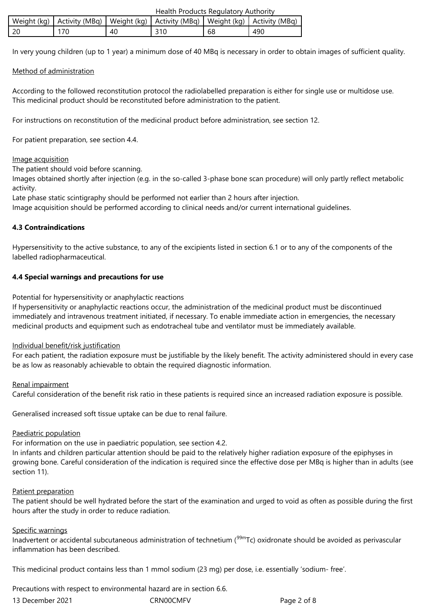|                                                                                            | Health Products Regulatory Authority |     |    |     |
|--------------------------------------------------------------------------------------------|--------------------------------------|-----|----|-----|
| Weight (kg)   Activity (MBq)   Weight (kg)   Activity (MBq)   Weight (kg)   Activity (MBq) |                                      |     |    |     |
| 170                                                                                        | 40                                   | 310 | 68 | 490 |

In very young children (up to 1 year) a minimum dose of 40 MBq is necessary in order to obtain images of sufficient quality.

### Method of administration

According to the followed reconstitution protocol the radiolabelled preparation is either for single use or multidose use. This medicinal product should be reconstituted before administration to the patient.

For instructions on reconstitution of the medicinal product before administration, see section 12.

For patient preparation, see section 4.4.

#### Image acquisition

The patient should void before scanning.

Images obtained shortly after injection (e.g. in the so-called 3-phase bone scan procedure) will only partly reflect metabolic activity.

Late phase static scintigraphy should be performed not earlier than 2 hours after injection.

Image acquisition should be performed according to clinical needs and/or current international guidelines.

### **4.3 Contraindications**

Hypersensitivity to the active substance, to any of the excipients listed in section 6.1 or to any of the components of the labelled radiopharmaceutical.

### **4.4 Special warnings and precautions for use**

Potential for hypersensitivity or anaphylactic reactions

If hypersensitivity or anaphylactic reactions occur, the administration of the medicinal product must be discontinued immediately and intravenous treatment initiated, if necessary. To enable immediate action in emergencies, the necessary medicinal products and equipment such as endotracheal tube and ventilator must be immediately available.

#### Individual benefit/risk justification

For each patient, the radiation exposure must be justifiable by the likely benefit. The activity administered should in every case be as low as reasonably achievable to obtain the required diagnostic information.

#### Renal impairment

Careful consideration of the benefit risk ratio in these patients is required since an increased radiation exposure is possible.

Generalised increased soft tissue uptake can be due to renal failure.

#### Paediatric population

For information on the use in paediatric population, see section 4.2.

In infants and children particular attention should be paid to the relatively higher radiation exposure of the epiphyses in growing bone. Careful consideration of the indication is required since the effective dose per MBq is higher than in adults (see section 11).

#### Patient preparation

The patient should be well hydrated before the start of the examination and urged to void as often as possible during the first hours after the study in order to reduce radiation.

#### Specific warnings

Inadvertent or accidental subcutaneous administration of technetium (<sup>99m</sup>Tc) oxidronate should be avoided as perivascular inflammation has been described.

This medicinal product contains less than 1 mmol sodium (23 mg) per dose, i.e. essentially 'sodium- free'.

Precautions with respect to environmental hazard are in section 6.6.

| 13 December 2021 | <b>CRN00CMF</b> |
|------------------|-----------------|
|                  |                 |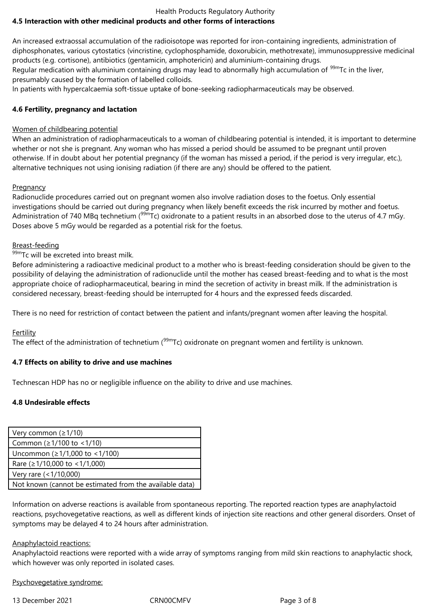#### Health Products Regulatory Authority **4.5 Interaction with other medicinal products and other forms of interactions**

An increased extraossal accumulation of the radioisotope was reported for iron-containing ingredients, administration of diphosphonates, various cytostatics (vincristine, cyclophosphamide, doxorubicin, methotrexate), immunosuppressive medicinal products (e.g. cortisone), antibiotics (gentamicin, amphotericin) and aluminium-containing drugs.

Regular medication with aluminium containing drugs may lead to abnormally high accumulation of <sup>99m</sup>Tc in the liver, presumably caused by the formation of labelled colloids.

In patients with hypercalcaemia soft-tissue uptake of bone-seeking radiopharmaceuticals may be observed.

# **4.6 Fertility, pregnancy and lactation**

# Women of childbearing potential

When an administration of radiopharmaceuticals to a woman of childbearing potential is intended, it is important to determine whether or not she is pregnant. Any woman who has missed a period should be assumed to be pregnant until proven otherwise. If in doubt about her potential pregnancy (if the woman has missed a period, if the period is very irregular, etc.), alternative techniques not using ionising radiation (if there are any) should be offered to the patient.

# Pregnancy

Radionuclide procedures carried out on pregnant women also involve radiation doses to the foetus. Only essential investigations should be carried out during pregnancy when likely benefit exceeds the risk incurred by mother and foetus. Administration of 740 MBq technetium ( $99m$ Tc) oxidronate to a patient results in an absorbed dose to the uterus of 4.7 mGy. Doses above 5 mGy would be regarded as a potential risk for the foetus.

# Breast-feeding

99mTc will be excreted into breast milk.

Before administering a radioactive medicinal product to a mother who is breast-feeding consideration should be given to the possibility of delaying the administration of radionuclide until the mother has ceased breast-feeding and to what is the most appropriate choice of radiopharmaceutical, bearing in mind the secretion of activity in breast milk. If the administration is considered necessary, breast-feeding should be interrupted for 4 hours and the expressed feeds discarded.

There is no need for restriction of contact between the patient and infants/pregnant women after leaving the hospital.

# Fertility

The effect of the administration of technetium  $(99m)$ Tc) oxidronate on pregnant women and fertility is unknown.

## **4.7 Effects on ability to drive and use machines**

Technescan HDP has no or negligible influence on the ability to drive and use machines.

# **4.8 Undesirable effects**

| Very common $(21/10)$                                   |  |  |  |  |
|---------------------------------------------------------|--|--|--|--|
| Common ( $\geq$ 1/100 to <1/10)                         |  |  |  |  |
| Uncommon (≥1/1,000 to <1/100)                           |  |  |  |  |
| Rare ( $\geq$ 1/10,000 to < 1/1,000)                    |  |  |  |  |
| Very rare (<1/10,000)                                   |  |  |  |  |
| Not known (cannot be estimated from the available data) |  |  |  |  |
|                                                         |  |  |  |  |

Information on adverse reactions is available from spontaneous reporting. The reported reaction types are anaphylactoid reactions, psychovegetative reactions, as well as different kinds of injection site reactions and other general disorders. Onset of symptoms may be delayed 4 to 24 hours after administration.

## Anaphylactoid reactions:

Anaphylactoid reactions were reported with a wide array of symptoms ranging from mild skin reactions to anaphylactic shock, which however was only reported in isolated cases.

Psychovegetative syndrome:

13 December 2021 CRN00CMFV Page 3 of 8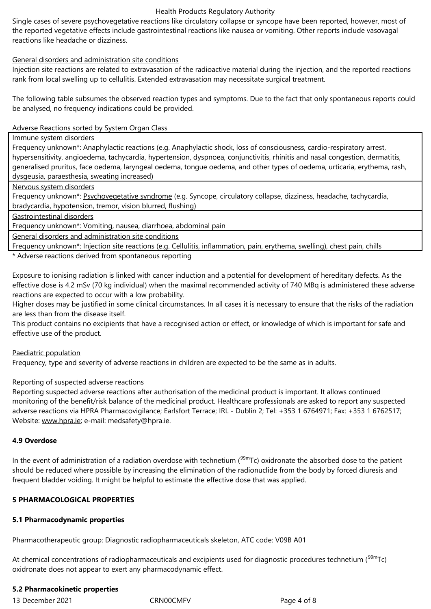reactions like headache or dizziness.

#### General disorders and administration site conditions

Injection site reactions are related to extravasation of the radioactive material during the injection, and the reported reactions rank from local swelling up to cellulitis. Extended extravasation may necessitate surgical treatment.

The following table subsumes the observed reaction types and symptoms. Due to the fact that only spontaneous reports could be analysed, no frequency indications could be provided.

#### Adverse Reactions sorted by System Organ Class

Immune system disorders

Frequency unknown\*: Anaphylactic reactions (e.g. Anaphylactic shock, loss of consciousness, cardio-respiratory arrest, hypersensitivity, angioedema, tachycardia, hypertension, dyspnoea, conjunctivitis, rhinitis and nasal congestion, dermatitis, generalised pruritus, face oedema, laryngeal oedema, tongue oedema, and other types of oedema, urticaria, erythema, rash, dysgeusia, paraesthesia, sweating increased)

Nervous system disorders

Frequency unknown\*: Psychovegetative syndrome (e.g. Syncope, circulatory collapse, dizziness, headache, tachycardia, bradycardia, hypotension, tremor, vision blurred, flushing)

Gastrointestinal disorders

Frequency unknown\*: Vomiting, nausea, diarrhoea, abdominal pain

General disorders and administration site conditions

Frequency unknown\*: Injection site reactions (e.g. Cellulitis, inflammation, pain, erythema, swelling), chest pain, chills

\* Adverse reactions derived from spontaneous reporting

Exposure to ionising radiation is linked with cancer induction and a potential for development of hereditary defects. As the effective dose is 4.2 mSv (70 kg individual) when the maximal recommended activity of 740 MBq is administered these adverse reactions are expected to occur with a low probability.

Higher doses may be justified in some clinical circumstances. In all cases it is necessary to ensure that the risks of the radiation are less than from the disease itself.

This product contains no excipients that have a recognised action or effect, or knowledge of which is important for safe and effective use of the product.

#### Paediatric population

Frequency, type and severity of adverse reactions in children are expected to be the same as in adults.

#### Reporting of suspected adverse reactions

Reporting suspected adverse reactions after authorisation of the medicinal product is important. It allows continued monitoring of the benefit/risk balance of the medicinal product. Healthcare professionals are asked to report any suspected adverse reactions via HPRA Pharmacovigilance; Earlsfort Terrace; IRL - Dublin 2; Tel: +353 1 6764971; Fax: +353 1 6762517; Website: www.hpra.ie; e-mail: medsafety@hpra.ie.

#### **4.9 Overdose**

In the ev[ent of admini](http://www.hpra.ie/)stration of a radiation overdose with technetium ( $99mTc$ ) oxidronate the absorbed dose to the patient should be reduced where possible by increasing the elimination of the radionuclide from the body by forced diuresis and frequent bladder voiding. It might be helpful to estimate the effective dose that was applied.

#### **5 PHARMACOLOGICAL PROPERTIES**

#### **5.1 Pharmacodynamic properties**

Pharmacotherapeutic group: Diagnostic radiopharmaceuticals skeleton, ATC code: V09B A01

At chemical concentrations of radiopharmaceuticals and excipients used for diagnostic procedures technetium (<sup>99m</sup>Tc) oxidronate does not appear to exert any pharmacodynamic effect.

#### **5.2 Pharmacokinetic properties**

13 December 2021 CRN00CMFV Page 4 of 8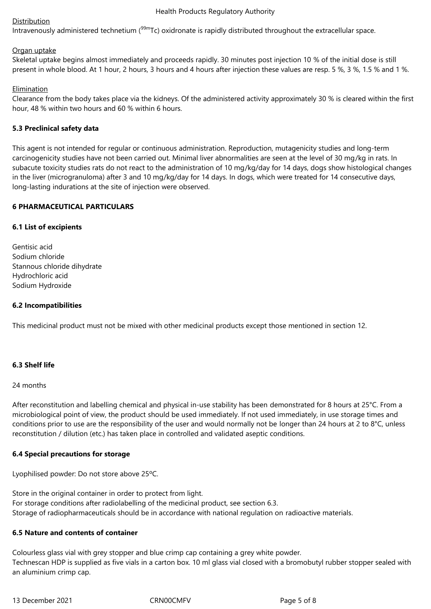#### Distribution

Intravenously administered technetium (<sup>99m</sup>Tc) oxidronate is rapidly distributed throughout the extracellular space.

#### Organ uptake

Skeletal uptake begins almost immediately and proceeds rapidly. 30 minutes post injection 10 % of the initial dose is still present in whole blood. At 1 hour, 2 hours, 3 hours and 4 hours after injection these values are resp. 5 %, 3 %, 1.5 % and 1 %.

### Elimination

Clearance from the body takes place via the kidneys. Of the administered activity approximately 30 % is cleared within the first hour, 48 % within two hours and 60 % within 6 hours.

### **5.3 Preclinical safety data**

This agent is not intended for regular or continuous administration. Reproduction, mutagenicity studies and long-term carcinogenicity studies have not been carried out. Minimal liver abnormalities are seen at the level of 30 mg/kg in rats. In subacute toxicity studies rats do not react to the administration of 10 mg/kg/day for 14 days, dogs show histological changes in the liver (microgranuloma) after 3 and 10 mg/kg/day for 14 days. In dogs, which were treated for 14 consecutive days, long-lasting indurations at the site of injection were observed.

### **6 PHARMACEUTICAL PARTICULARS**

#### **6.1 List of excipients**

| Gentisic acid               |
|-----------------------------|
| Sodium chloride             |
| Stannous chloride dihydrate |
| Hydrochloric acid           |
| Sodium Hydroxide            |

#### **6.2 Incompatibilities**

This medicinal product must not be mixed with other medicinal products except those mentioned in section 12.

## **6.3 Shelf life**

#### 24 months

After reconstitution and labelling chemical and physical in-use stability has been demonstrated for 8 hours at 25°C. From a microbiological point of view, the product should be used immediately. If not used immediately, in use storage times and conditions prior to use are the responsibility of the user and would normally not be longer than 24 hours at 2 to 8°C, unless reconstitution / dilution (etc.) has taken place in controlled and validated aseptic conditions.

#### **6.4 Special precautions for storage**

Lyophilised powder: Do not store above 25ºC.

Store in the original container in order to protect from light. For storage conditions after radiolabelling of the medicinal product, see section 6.3. Storage of radiopharmaceuticals should be in accordance with national regulation on radioactive materials.

#### **6.5 Nature and contents of container**

Colourless glass vial with grey stopper and blue crimp cap containing a grey white powder. Technescan HDP is supplied as five vials in a carton box. 10 ml glass vial closed with a bromobutyl rubber stopper sealed with an aluminium crimp cap.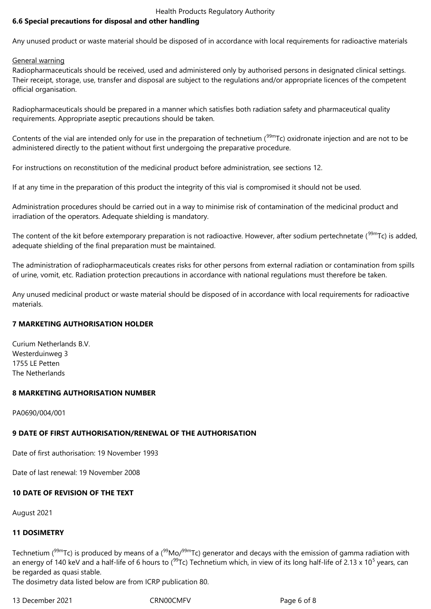### **6.6 Special precautions for disposal and other handling**

Any unused product or waste material should be disposed of in accordance with local requirements for radioactive materials

General warning

Radiopharmaceuticals should be received, used and administered only by authorised persons in designated clinical settings. Their receipt, storage, use, transfer and disposal are subject to the regulations and/or appropriate licences of the competent official organisation.

Radiopharmaceuticals should be prepared in a manner which satisfies both radiation safety and pharmaceutical quality requirements. Appropriate aseptic precautions should be taken.

Contents of the vial are intended only for use in the preparation of technetium ( $99m$ Tc) oxidronate injection and are not to be administered directly to the patient without first undergoing the preparative procedure.

For instructions on reconstitution of the medicinal product before administration, see sections 12.

If at any time in the preparation of this product the integrity of this vial is compromised it should not be used.

Administration procedures should be carried out in a way to minimise risk of contamination of the medicinal product and irradiation of the operators. Adequate shielding is mandatory.

The content of the kit before extemporary preparation is not radioactive. However, after sodium pertechnetate (<sup>99m</sup>Tc) is added, adequate shielding of the final preparation must be maintained.

The administration of radiopharmaceuticals creates risks for other persons from external radiation or contamination from spills of urine, vomit, etc. Radiation protection precautions in accordance with national regulations must therefore be taken.

Any unused medicinal product or waste material should be disposed of in accordance with local requirements for radioactive materials.

#### **7 MARKETING AUTHORISATION HOLDER**

Curium Netherlands B.V. Westerduinweg 3 1755 LE Petten The Netherlands

#### **8 MARKETING AUTHORISATION NUMBER**

PA0690/004/001

# **9 DATE OF FIRST AUTHORISATION/RENEWAL OF THE AUTHORISATION**

Date of first authorisation: 19 November 1993

Date of last renewal: 19 November 2008

# **10 DATE OF REVISION OF THE TEXT**

August 2021

# **11 DOSIMETRY**

Technetium ( $99mTc$ ) is produced by means of a ( $99Mo/99mTc$ ) generator and decays with the emission of gamma radiation with an energy of 140 keV and a half-life of 6 hours to (<sup>99</sup>Tc) Technetium which, in view of its long half-life of 2.13 x 10<sup>5</sup> years, can be regarded as quasi stable.

The dosimetry data listed below are from ICRP publication 80.

13 December 2021 CRN00CMFV Page 6 of 8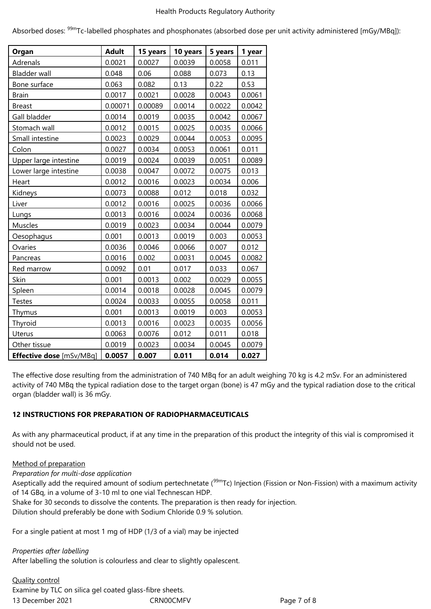Absorbed doses: <sup>99m</sup>Tc-labelled phosphates and phosphonates (absorbed dose per unit activity administered [mGy/MBq]):

| Organ                    | <b>Adult</b> | 15 years | 10 years | 5 years | 1 year |
|--------------------------|--------------|----------|----------|---------|--------|
| Adrenals                 | 0.0021       | 0.0027   | 0.0039   | 0.0058  | 0.011  |
| <b>Bladder wall</b>      | 0.048        | 0.06     | 0.088    | 0.073   | 0.13   |
| Bone surface             | 0.063        | 0.082    | 0.13     | 0.22    | 0.53   |
| <b>Brain</b>             | 0.0017       | 0.0021   | 0.0028   | 0.0043  | 0.0061 |
| <b>Breast</b>            | 0.00071      | 0.00089  | 0.0014   | 0.0022  | 0.0042 |
| Gall bladder             | 0.0014       | 0.0019   | 0.0035   | 0.0042  | 0.0067 |
| Stomach wall             | 0.0012       | 0.0015   | 0.0025   | 0.0035  | 0.0066 |
| Small intestine          | 0.0023       | 0.0029   | 0.0044   | 0.0053  | 0.0095 |
| Colon                    | 0.0027       | 0.0034   | 0.0053   | 0.0061  | 0.011  |
| Upper large intestine    | 0.0019       | 0.0024   | 0.0039   | 0.0051  | 0.0089 |
| Lower large intestine    | 0.0038       | 0.0047   | 0.0072   | 0.0075  | 0.013  |
| Heart                    | 0.0012       | 0.0016   | 0.0023   | 0.0034  | 0.006  |
| Kidneys                  | 0.0073       | 0.0088   | 0.012    | 0.018   | 0.032  |
| Liver                    | 0.0012       | 0.0016   | 0.0025   | 0.0036  | 0.0066 |
| Lungs                    | 0.0013       | 0.0016   | 0.0024   | 0.0036  | 0.0068 |
| Muscles                  | 0.0019       | 0.0023   | 0.0034   | 0.0044  | 0.0079 |
| Oesophagus               | 0.001        | 0.0013   | 0.0019   | 0.003   | 0.0053 |
| Ovaries                  | 0.0036       | 0.0046   | 0.0066   | 0.007   | 0.012  |
| Pancreas                 | 0.0016       | 0.002    | 0.0031   | 0.0045  | 0.0082 |
| Red marrow               | 0.0092       | 0.01     | 0.017    | 0.033   | 0.067  |
| Skin                     | 0.001        | 0.0013   | 0.002    | 0.0029  | 0.0055 |
| Spleen                   | 0.0014       | 0.0018   | 0.0028   | 0.0045  | 0.0079 |
| <b>Testes</b>            | 0.0024       | 0.0033   | 0.0055   | 0.0058  | 0.011  |
| Thymus                   | 0.001        | 0.0013   | 0.0019   | 0.003   | 0.0053 |
| Thyroid                  | 0.0013       | 0.0016   | 0.0023   | 0.0035  | 0.0056 |
| Uterus                   | 0.0063       | 0.0076   | 0.012    | 0.011   | 0.018  |
| Other tissue             | 0.0019       | 0.0023   | 0.0034   | 0.0045  | 0.0079 |
| Effective dose [mSv/MBq] | 0.0057       | 0.007    | 0.011    | 0.014   | 0.027  |

The effective dose resulting from the administration of 740 MBq for an adult weighing 70 kg is 4.2 mSv. For an administered activity of 740 MBq the typical radiation dose to the target organ (bone) is 47 mGy and the typical radiation dose to the critical organ (bladder wall) is 36 mGy.

## **12 INSTRUCTIONS FOR PREPARATION OF RADIOPHARMACEUTICALS**

As with any pharmaceutical product, if at any time in the preparation of this product the integrity of this vial is compromised it should not be used.

#### Method of preparation

*Preparation for multi-dose application*

Aseptically add the required amount of sodium pertechnetate ( $99m$ Tc) Injection (Fission or Non-Fission) with a maximum activity of 14 GBq, in a volume of 3-10 ml to one vial Technescan HDP.

Shake for 30 seconds to dissolve the contents. The preparation is then ready for injection.

Dilution should preferably be done with Sodium Chloride 0.9 % solution.

For a single patient at most 1 mg of HDP (1/3 of a vial) may be injected

#### *Properties after labelling*

After labelling the solution is colourless and clear to slightly opalescent.

## Quality control

13 December 2021 CRN00CMFV Page 7 of 8 Examine by TLC on silica gel coated glass-fibre sheets.